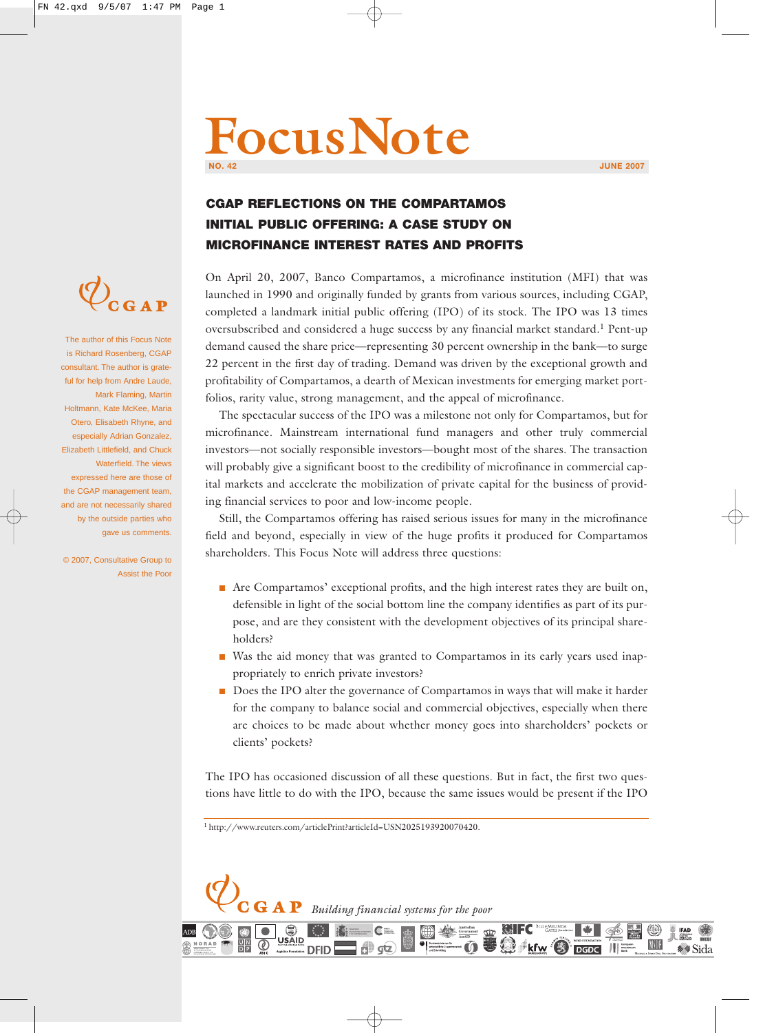# **FocusNote NO. 42 JUNE 2007**

他

**MSDF** 

 $\mathscr{W}$  Sid:

 $\begin{array}{c} \begin{array}{|c} \hline \text{F} \\ \text{I} \end{array} \\ \begin{array}{|c} \hline \text{B} \\ \text{Bank} \end{array} \end{array}$ 

**DGDC** 

## **CGAP REFLECTIONS ON THE COMPARTAMOS INITIAL PUBLIC OFFERING: A CASE STUDY ON MICROFINANCE INTEREST RATES AND PROFITS**

On April 20, 2007, Banco Compartamos, a microfinance institution (MFI) that was launched in 1990 and originally funded by grants from various sources, including CGAP, completed a landmark initial public offering (IPO) of its stock. The IPO was 13 times oversubscribed and considered a huge success by any financial market standard.<sup>1</sup> Pent-up demand caused the share price—representing 30 percent ownership in the bank—to surge 22 percent in the first day of trading. Demand was driven by the exceptional growth and profitability of Compartamos, a dearth of Mexican investments for emerging market portfolios, rarity value, strong management, and the appeal of microfinance.

The spectacular success of the IPO was a milestone not only for Compartamos, but for microfinance. Mainstream international fund managers and other truly commercial investors—not socially responsible investors—bought most of the shares. The transaction will probably give a significant boost to the credibility of microfinance in commercial capital markets and accelerate the mobilization of private capital for the business of providing financial services to poor and low-income people.

Still, the Compartamos offering has raised serious issues for many in the microfinance field and beyond, especially in view of the huge profits it produced for Compartamos shareholders. This Focus Note will address three questions:

- Are Compartamos' exceptional profits, and the high interest rates they are built on, defensible in light of the social bottom line the company identifies as part of its purpose, and are they consistent with the development objectives of its principal shareholders?
- Was the aid money that was granted to Compartamos in its early years used inappropriately to enrich private investors?
- Does the IPO alter the governance of Compartamos in ways that will make it harder for the company to balance social and commercial objectives, especially when there are choices to be made about whether money goes into shareholders' pockets or clients' pockets?

The IPO has occasioned discussion of all these questions. But in fact, the first two questions have little to do with the IPO, because the same issues would be present if the IPO

 $\bigoplus$ 

**OD** Bandesministerium für<br>
witschaftliche Zusammer<br>
und Entwicklung

 $0.99$  kfw  $\odot$ 

1 http://www.reuters.com/articlePrint?articleId=USN2025193920070420.

**DFID** 

 $\bullet$ 

 $\overline{\mathbf{G}}\hspace{0.1cm}\mathbf{A}\hspace{0.1cm}\mathbf{P}\hspace{0.1cm}$  Building financial systems for the poor

 $q\overline{z}$ 



The author of this Focus Note is Richard Rosenberg, CGAP consultant. The author is grateful for help from Andre Laude, Mark Flaming, Martin Holtmann, Kate McKee, Maria Otero, Elisabeth Rhyne, and especially Adrian Gonzalez, Elizabeth Littlefield, and Chuck Waterfield. The views expressed here are those of the CGAP management team, and are not necessarily shared by the outside parties who gave us comments.

© 2007, Consultative Group to Assist the Poor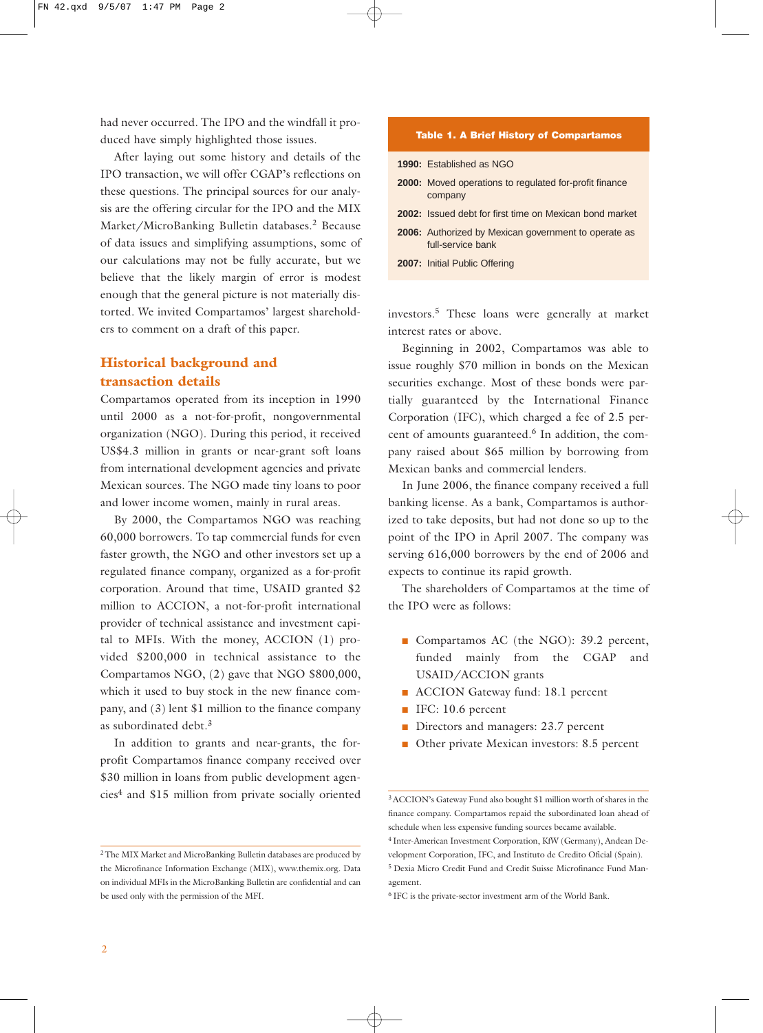had never occurred. The IPO and the windfall it produced have simply highlighted those issues.

After laying out some history and details of the IPO transaction, we will offer CGAP's reflections on these questions. The principal sources for our analysis are the offering circular for the IPO and the MIX Market/MicroBanking Bulletin databases.<sup>2</sup> Because of data issues and simplifying assumptions, some of our calculations may not be fully accurate, but we believe that the likely margin of error is modest enough that the general picture is not materially distorted. We invited Compartamos' largest shareholders to comment on a draft of this paper.

#### **Historical background and transaction details**

Compartamos operated from its inception in 1990 until 2000 as a not-for-profit, nongovernmental organization (NGO). During this period, it received US\$4.3 million in grants or near-grant soft loans from international development agencies and private Mexican sources. The NGO made tiny loans to poor and lower income women, mainly in rural areas.

By 2000, the Compartamos NGO was reaching 60,000 borrowers. To tap commercial funds for even faster growth, the NGO and other investors set up a regulated finance company, organized as a for-profit corporation. Around that time, USAID granted \$2 million to ACCION, a not-for-profit international provider of technical assistance and investment capital to MFIs. With the money, ACCION (1) provided \$200,000 in technical assistance to the Compartamos NGO, (2) gave that NGO \$800,000, which it used to buy stock in the new finance company, and (3) lent \$1 million to the finance company as subordinated debt.<sup>3</sup>

In addition to grants and near-grants, the forprofit Compartamos finance company received over \$30 million in loans from public development agencies<sup>4</sup> and \$15 million from private socially oriented

#### **Table 1. A Brief History of Compartamos**

|  | <b>1990:</b> Established as NGO                                                  |
|--|----------------------------------------------------------------------------------|
|  | <b>2000:</b> Moved operations to regulated for-profit finance<br>company         |
|  | <b>2002:</b> Issued debt for first time on Mexican bond market                   |
|  | <b>2006:</b> Authorized by Mexican government to operate as<br>full-service bank |
|  | 2007: Initial Public Offering                                                    |
|  |                                                                                  |

investors.<sup>5</sup> These loans were generally at market interest rates or above.

Beginning in 2002, Compartamos was able to issue roughly \$70 million in bonds on the Mexican securities exchange. Most of these bonds were partially guaranteed by the International Finance Corporation (IFC), which charged a fee of 2.5 percent of amounts guaranteed.<sup>6</sup> In addition, the company raised about \$65 million by borrowing from Mexican banks and commercial lenders.

In June 2006, the finance company received a full banking license. As a bank, Compartamos is authorized to take deposits, but had not done so up to the point of the IPO in April 2007. The company was serving 616,000 borrowers by the end of 2006 and expects to continue its rapid growth.

The shareholders of Compartamos at the time of the IPO were as follows:

- Compartamos AC (the NGO): 39.2 percent, funded mainly from the CGAP and USAID/ACCION grants
- ACCION Gateway fund: 18.1 percent
- IFC: 10.6 percent
- Directors and managers: 23.7 percent
- Other private Mexican investors: 8.5 percent

<sup>2</sup> The MIX Market and MicroBanking Bulletin databases are produced by the Microfinance Information Exchange (MIX), www.themix.org. Data on individual MFIs in the MicroBanking Bulletin are confidential and can be used only with the permission of the MFI.

<sup>3</sup> ACCION's Gateway Fund also bought \$1 million worth of shares in the finance company. Compartamos repaid the subordinated loan ahead of schedule when less expensive funding sources became available.

<sup>4</sup> Inter-American Investment Corporation, KfW (Germany), Andean Development Corporation, IFC, and Instituto de Credito Oficial (Spain).

<sup>5</sup> Dexia Micro Credit Fund and Credit Suisse Microfinance Fund Management.

<sup>6</sup> IFC is the private-sector investment arm of the World Bank.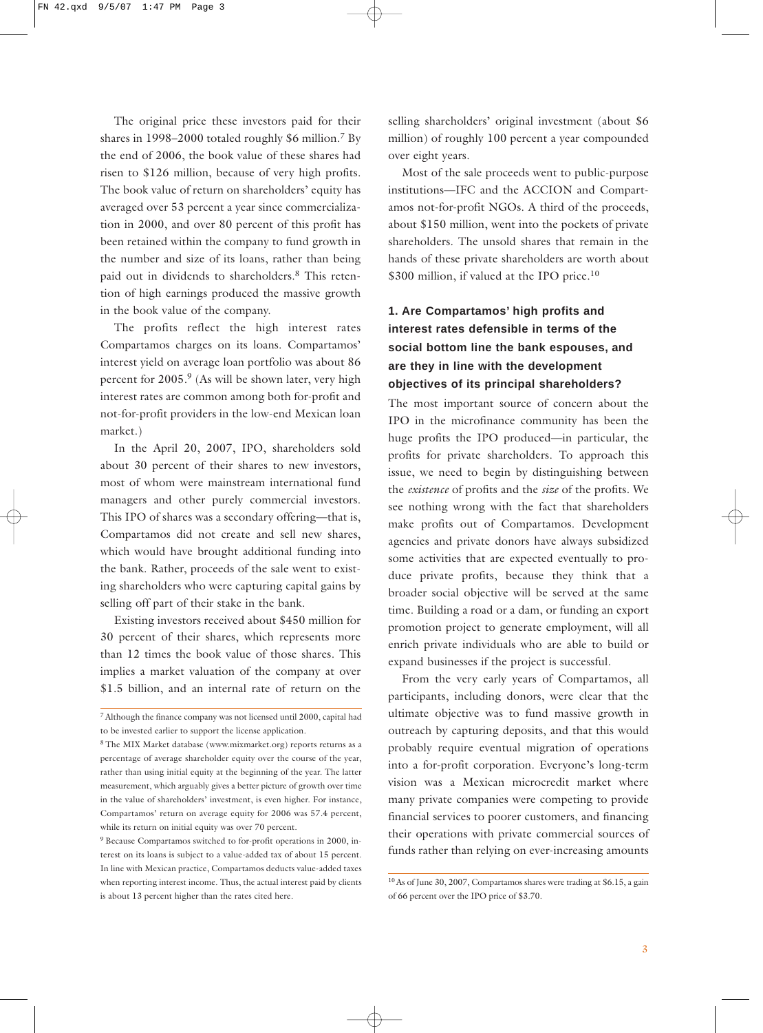The original price these investors paid for their shares in 1998–2000 totaled roughly \$6 million.<sup>7</sup> By the end of 2006, the book value of these shares had risen to \$126 million, because of very high profits. The book value of return on shareholders' equity has averaged over 53 percent a year since commercialization in 2000, and over 80 percent of this profit has been retained within the company to fund growth in the number and size of its loans, rather than being paid out in dividends to shareholders.<sup>8</sup> This retention of high earnings produced the massive growth in the book value of the company.

The profits reflect the high interest rates Compartamos charges on its loans. Compartamos' interest yield on average loan portfolio was about 86 percent for 2005.<sup>9</sup> (As will be shown later, very high interest rates are common among both for-profit and not-for-profit providers in the low-end Mexican loan market.)

In the April 20, 2007, IPO, shareholders sold about 30 percent of their shares to new investors, most of whom were mainstream international fund managers and other purely commercial investors. This IPO of shares was a secondary offering—that is, Compartamos did not create and sell new shares, which would have brought additional funding into the bank. Rather, proceeds of the sale went to existing shareholders who were capturing capital gains by selling off part of their stake in the bank.

Existing investors received about \$450 million for 30 percent of their shares, which represents more than 12 times the book value of those shares. This implies a market valuation of the company at over \$1.5 billion, and an internal rate of return on the selling shareholders' original investment (about \$6 million) of roughly 100 percent a year compounded over eight years.

Most of the sale proceeds went to public-purpose institutions—IFC and the ACCION and Compartamos not-for-profit NGOs. A third of the proceeds, about \$150 million, went into the pockets of private shareholders. The unsold shares that remain in the hands of these private shareholders are worth about \$300 million, if valued at the IPO price.<sup>10</sup>

## **1. Are Compartamos' high profits and interest rates defensible in terms of the social bottom line the bank espouses, and are they in line with the development objectives of its principal shareholders?**

The most important source of concern about the IPO in the microfinance community has been the huge profits the IPO produced—in particular, the profits for private shareholders. To approach this issue, we need to begin by distinguishing between the *existence* of profits and the *size* of the profits. We see nothing wrong with the fact that shareholders make profits out of Compartamos. Development agencies and private donors have always subsidized some activities that are expected eventually to produce private profits, because they think that a broader social objective will be served at the same time. Building a road or a dam, or funding an export promotion project to generate employment, will all enrich private individuals who are able to build or expand businesses if the project is successful.

From the very early years of Compartamos, all participants, including donors, were clear that the ultimate objective was to fund massive growth in outreach by capturing deposits, and that this would probably require eventual migration of operations into a for-profit corporation. Everyone's long-term vision was a Mexican microcredit market where many private companies were competing to provide financial services to poorer customers, and financing their operations with private commercial sources of funds rather than relying on ever-increasing amounts

<sup>7</sup> Although the finance company was not licensed until 2000, capital had to be invested earlier to support the license application.

<sup>8</sup> The MIX Market database (www.mixmarket.org) reports returns as a percentage of average shareholder equity over the course of the year, rather than using initial equity at the beginning of the year. The latter measurement, which arguably gives a better picture of growth over time in the value of shareholders' investment, is even higher. For instance, Compartamos' return on average equity for 2006 was 57.4 percent, while its return on initial equity was over 70 percent.

<sup>9</sup> Because Compartamos switched to for-profit operations in 2000, interest on its loans is subject to a value-added tax of about 15 percent. In line with Mexican practice, Compartamos deducts value-added taxes when reporting interest income. Thus, the actual interest paid by clients is about 13 percent higher than the rates cited here.

<sup>10</sup> As of June 30, 2007, Compartamos shares were trading at \$6.15, a gain of 66 percent over the IPO price of \$3.70.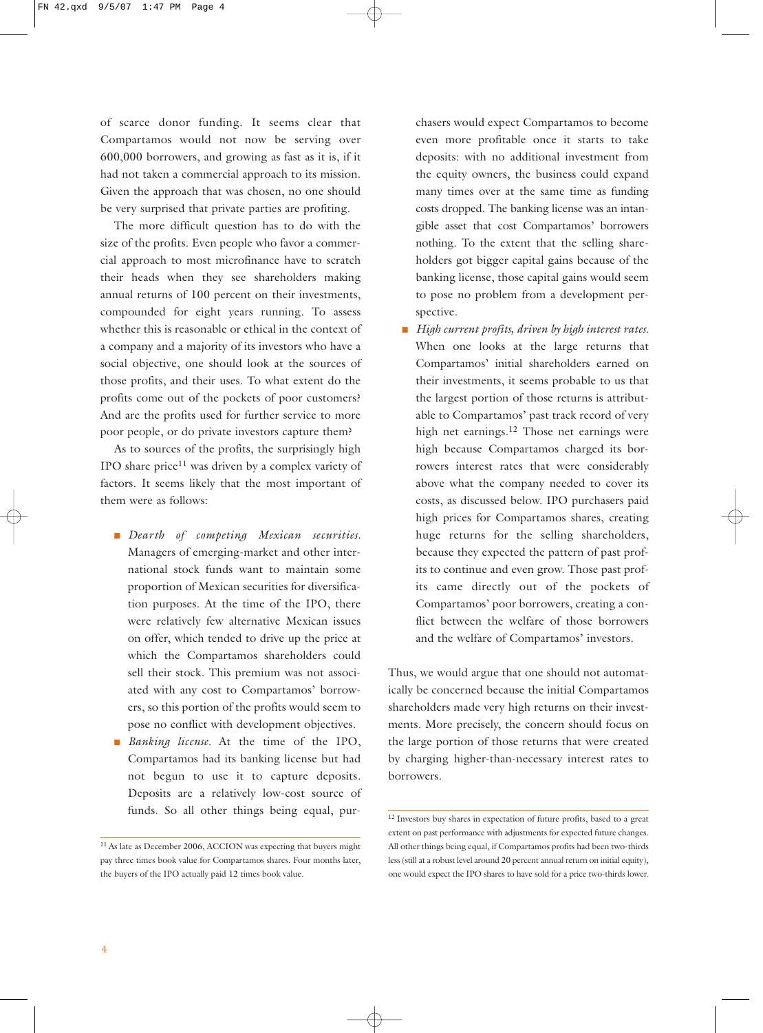of scarce donor funding. It seems clear that Compartamos would not now be serving over 600,000 borrowers, and growing as fast as it is, if it had not taken a commercial approach to its mission. Given the approach that was chosen, no one should be very surprised that private parties are profiting.

The more difficult question has to do with the size of the profits. Even people who favor a commercial approach to most microfinance have to scratch their heads when they see shareholders making annual returns of 100 percent on their investments, compounded for eight years running. To assess whether this is reasonable or ethical in the context of a company and a majority of its investors who have a social objective, one should look at the sources of those profits, and their uses. To what extent do the profits come out of the pockets of poor customers? And are the profits used for further service to more poor people, or do private investors capture them?

As to sources of the profits, the surprisingly high IPO share price $11$  was driven by a complex variety of factors. It seems likely that the most important of them were as follows:

- *Dearth* of competing Mexican securities. Managers of emerging-market and other international stock funds want to maintain some proportion of Mexican securities for diversification purposes. At the time of the IPO, there were relatively few alternative Mexican issues on offer, which tended to drive up the price at which the Compartamos shareholders could sell their stock. This premium was not associated with any cost to Compartamos' borrowers, so this portion of the profits would seem to pose no conflict with development objectives.
- *Banking license*. At the time of the IPO, Compartamos had its banking license but had not begun to use it to capture deposits. Deposits are a relatively low-cost source of funds. So all other things being equal, pur-

chasers would expect Compartamos to become even more profitable once it starts to take deposits: with no additional investment from the equity owners, the business could expand many times over at the same time as funding costs dropped. The banking license was an intangible asset that cost Compartamos' borrowers nothing. To the extent that the selling shareholders got bigger capital gains because of the banking license, those capital gains would seem to pose no problem from a development perspective.

■ *High current profits, driven by high interest rates.* When one looks at the large returns that Compartamos' initial shareholders earned on their investments, it seems probable to us that the largest portion of those returns is attributable to Compartamos' past track record of very high net earnings.<sup>12</sup> Those net earnings were high because Compartamos charged its borrowers interest rates that were considerably above what the company needed to cover its costs, as discussed below. IPO purchasers paid high prices for Compartamos shares, creating huge returns for the selling shareholders, because they expected the pattern of past profits to continue and even grow. Those past profits came directly out of the pockets of Compartamos' poor borrowers, creating a conflict between the welfare of those borrowers and the welfare of Compartamos' investors.

Thus, we would argue that one should not automatically be concerned because the initial Compartamos shareholders made very high returns on their investments. More precisely, the concern should focus on the large portion of those returns that were created by charging higher-than-necessary interest rates to borrowers.

<sup>&</sup>lt;sup>11</sup> As late as December 2006, ACCION was expecting that buyers might pay three times book value for Compartamos shares. Four months later, the buyers of the IPO actually paid 12 times book value.

<sup>&</sup>lt;sup>12</sup> Investors buy shares in expectation of future profits, based to a great extent on past performance with adjustments for expected future changes. All other things being equal, if Compartamos profits had been two-thirds less (still at a robust level around 20 percent annual return on initial equity), one would expect the IPO shares to have sold for a price two-thirds lower.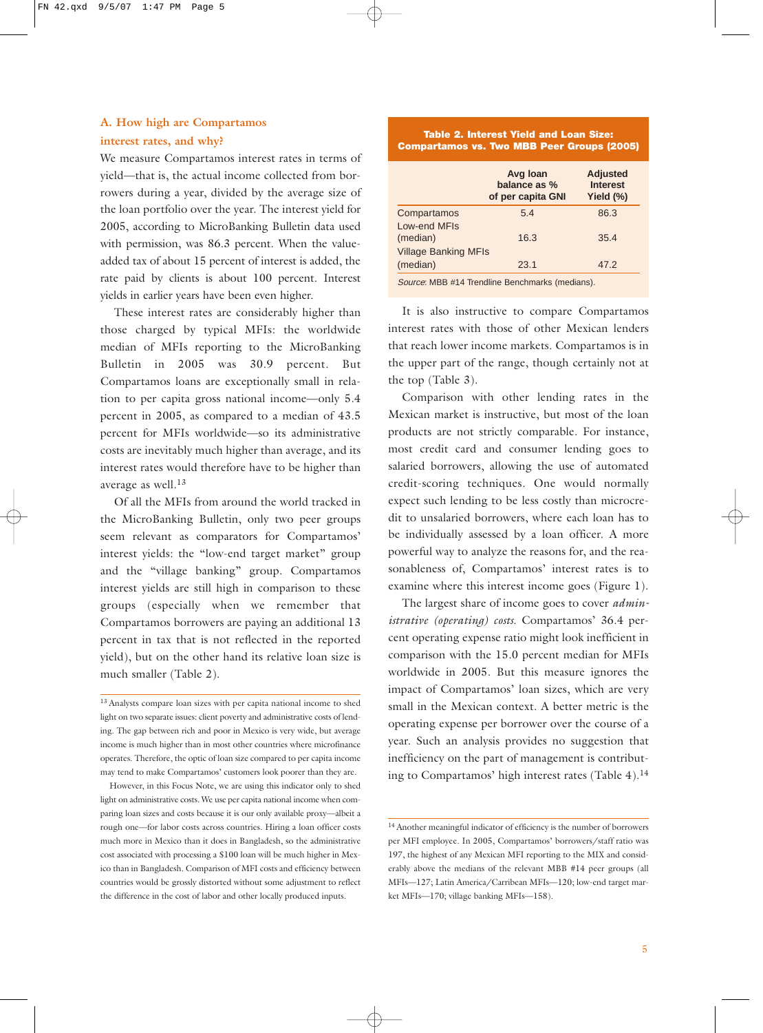#### **A. How high are Compartamos interest rates, and why?**

We measure Compartamos interest rates in terms of yield—that is, the actual income collected from borrowers during a year, divided by the average size of the loan portfolio over the year. The interest yield for 2005, according to MicroBanking Bulletin data used with permission, was 86.3 percent. When the valueadded tax of about 15 percent of interest is added, the rate paid by clients is about 100 percent. Interest yields in earlier years have been even higher.

These interest rates are considerably higher than those charged by typical MFIs: the worldwide median of MFIs reporting to the MicroBanking Bulletin in 2005 was 30.9 percent. But Compartamos loans are exceptionally small in relation to per capita gross national income—only 5.4 percent in 2005, as compared to a median of 43.5 percent for MFIs worldwide—so its administrative costs are inevitably much higher than average, and its interest rates would therefore have to be higher than average as well.<sup>13</sup>

Of all the MFIs from around the world tracked in the MicroBanking Bulletin, only two peer groups seem relevant as comparators for Compartamos' interest yields: the "low-end target market" group and the "village banking" group. Compartamos interest yields are still high in comparison to these groups (especially when we remember that Compartamos borrowers are paying an additional 13 percent in tax that is not reflected in the reported yield), but on the other hand its relative loan size is much smaller (Table 2).

However, in this Focus Note, we are using this indicator only to shed light on administrative costs. We use per capita national income when comparing loan sizes and costs because it is our only available proxy—albeit a rough one—for labor costs across countries. Hiring a loan officer costs much more in Mexico than it does in Bangladesh, so the administrative cost associated with processing a \$100 loan will be much higher in Mexico than in Bangladesh. Comparison of MFI costs and efficiency between countries would be grossly distorted without some adjustment to reflect the difference in the cost of labor and other locally produced inputs.

**Table 2. Interest Yield and Loan Size: Compartamos vs. Two MBB Peer Groups (2005)**

| <b>Adjusted</b><br><b>Interest</b><br>Yield $(\%)$     |
|--------------------------------------------------------|
| 86.3                                                   |
| 35.4                                                   |
|                                                        |
| 47.2                                                   |
| <i>Source:</i> MBB #14 Trendline Benchmarks (medians). |

It is also instructive to compare Compartamos interest rates with those of other Mexican lenders that reach lower income markets. Compartamos is in the upper part of the range, though certainly not at the top (Table 3).

Comparison with other lending rates in the Mexican market is instructive, but most of the loan products are not strictly comparable. For instance, most credit card and consumer lending goes to salaried borrowers, allowing the use of automated credit-scoring techniques. One would normally expect such lending to be less costly than microcredit to unsalaried borrowers, where each loan has to be individually assessed by a loan officer. A more powerful way to analyze the reasons for, and the reasonableness of, Compartamos' interest rates is to examine where this interest income goes (Figure 1).

The largest share of income goes to cover *administrative (operating) costs*. Compartamos' 36.4 percent operating expense ratio might look inefficient in comparison with the 15.0 percent median for MFIs worldwide in 2005. But this measure ignores the impact of Compartamos' loan sizes, which are very small in the Mexican context. A better metric is the operating expense per borrower over the course of a year. Such an analysis provides no suggestion that inefficiency on the part of management is contributing to Compartamos' high interest rates (Table 4).<sup>14</sup>

<sup>13</sup> Analysts compare loan sizes with per capita national income to shed light on two separate issues: client poverty and administrative costs of lending. The gap between rich and poor in Mexico is very wide, but average income is much higher than in most other countries where microfinance operates. Therefore, the optic of loan size compared to per capita income may tend to make Compartamos' customers look poorer than they are.

<sup>14</sup> Another meaningful indicator of efficiency is the number of borrowers per MFI employee. In 2005, Compartamos' borrowers/staff ratio was 197, the highest of any Mexican MFI reporting to the MIX and considerably above the medians of the relevant MBB #14 peer groups (all MFIs—127; Latin America/Carribean MFIs—120; low-end target market MFIs—170; village banking MFIs—158).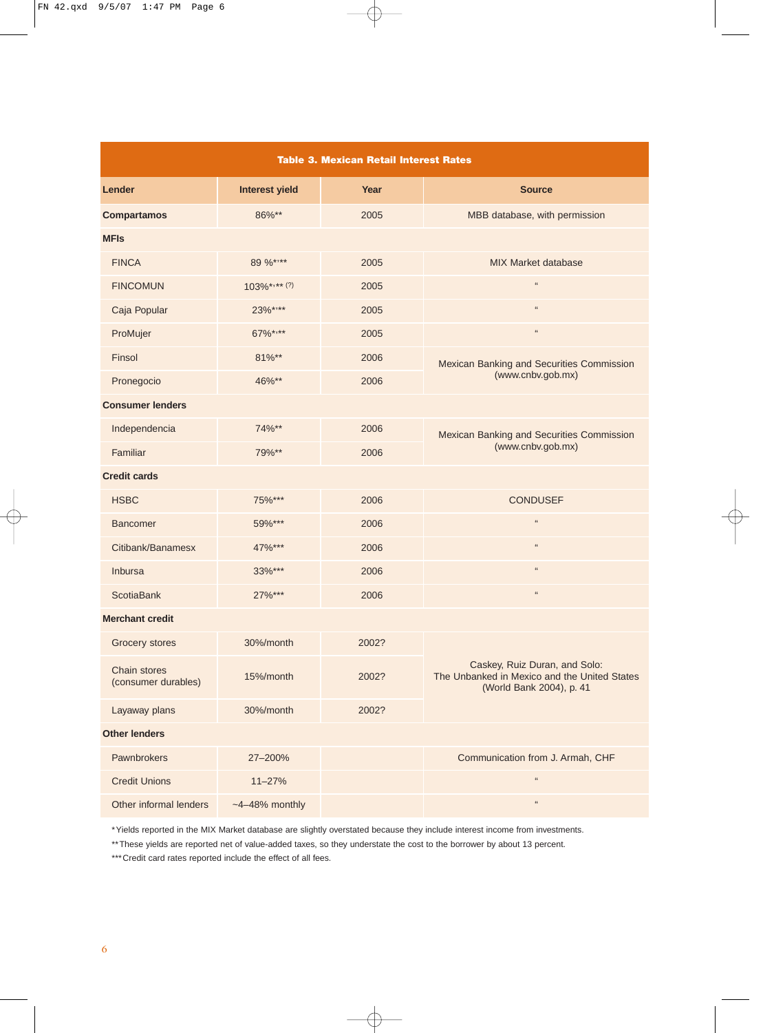| <b>Table 3. Mexican Retail Interest Rates</b> |                       |       |                                                                                                           |  |  |  |  |
|-----------------------------------------------|-----------------------|-------|-----------------------------------------------------------------------------------------------------------|--|--|--|--|
| Lender                                        | <b>Interest yield</b> | Year  | <b>Source</b>                                                                                             |  |  |  |  |
| <b>Compartamos</b>                            | 86%**                 | 2005  | MBB database, with permission                                                                             |  |  |  |  |
| <b>MFIs</b>                                   |                       |       |                                                                                                           |  |  |  |  |
| <b>FINCA</b>                                  | 89 %****              | 2005  | MIX Market database                                                                                       |  |  |  |  |
| <b>FINCOMUN</b>                               | $103\%***$ (?)        | 2005  | $\mathfrak{c}\mathfrak{c}$                                                                                |  |  |  |  |
| Caja Popular                                  | 23%****               | 2005  | $\mathfrak{c}\mathfrak{c}$                                                                                |  |  |  |  |
| ProMujer                                      | 67%****               | 2005  | $\mathfrak{c}\mathfrak{c}$                                                                                |  |  |  |  |
| Finsol                                        | 81%**                 | 2006  | Mexican Banking and Securities Commission                                                                 |  |  |  |  |
| Pronegocio                                    | 46%**                 | 2006  | (www.cnbv.gob.mx)                                                                                         |  |  |  |  |
| <b>Consumer lenders</b>                       |                       |       |                                                                                                           |  |  |  |  |
| Independencia                                 | 74%**                 | 2006  | Mexican Banking and Securities Commission                                                                 |  |  |  |  |
| Familiar                                      | 79%**                 | 2006  | (www.cnbv.gob.mx)                                                                                         |  |  |  |  |
| <b>Credit cards</b>                           |                       |       |                                                                                                           |  |  |  |  |
| <b>HSBC</b>                                   | 75%***                | 2006  | <b>CONDUSEF</b>                                                                                           |  |  |  |  |
| <b>Bancomer</b>                               | 59%***                | 2006  | $\mathfrak{c}\mathfrak{c}$                                                                                |  |  |  |  |
| Citibank/Banamesx                             | 47%***                | 2006  | $\mathfrak{c}\mathfrak{c}$                                                                                |  |  |  |  |
| Inbursa                                       | 33%***                | 2006  | $\mathfrak{c}\mathfrak{c}$                                                                                |  |  |  |  |
| <b>ScotiaBank</b>                             | 27%***                | 2006  | $\mathfrak{c}\mathfrak{c}$                                                                                |  |  |  |  |
| <b>Merchant credit</b>                        |                       |       |                                                                                                           |  |  |  |  |
| Grocery stores                                | 30%/month             | 2002? |                                                                                                           |  |  |  |  |
| <b>Chain stores</b><br>(consumer durables)    | 15%/month             | 2002? | Caskey, Ruiz Duran, and Solo:<br>The Unbanked in Mexico and the United States<br>(World Bank 2004), p. 41 |  |  |  |  |
| Layaway plans                                 | 30%/month             | 2002? |                                                                                                           |  |  |  |  |
| <b>Other lenders</b>                          |                       |       |                                                                                                           |  |  |  |  |
| Pawnbrokers                                   | 27-200%               |       | Communication from J. Armah, CHF                                                                          |  |  |  |  |
| <b>Credit Unions</b>                          | $11 - 27%$            |       | $\mathfrak{c}\mathfrak{c}$                                                                                |  |  |  |  |
| Other informal lenders                        | $-4-48%$ monthly      |       | $\mathfrak{c}\mathfrak{c}$                                                                                |  |  |  |  |

\*Yields reported in the MIX Market database are slightly overstated because they include interest income from investments.

\*\*These yields are reported net of value-added taxes, so they understate the cost to the borrower by about 13 percent.

\*\*\* Credit card rates reported include the effect of all fees.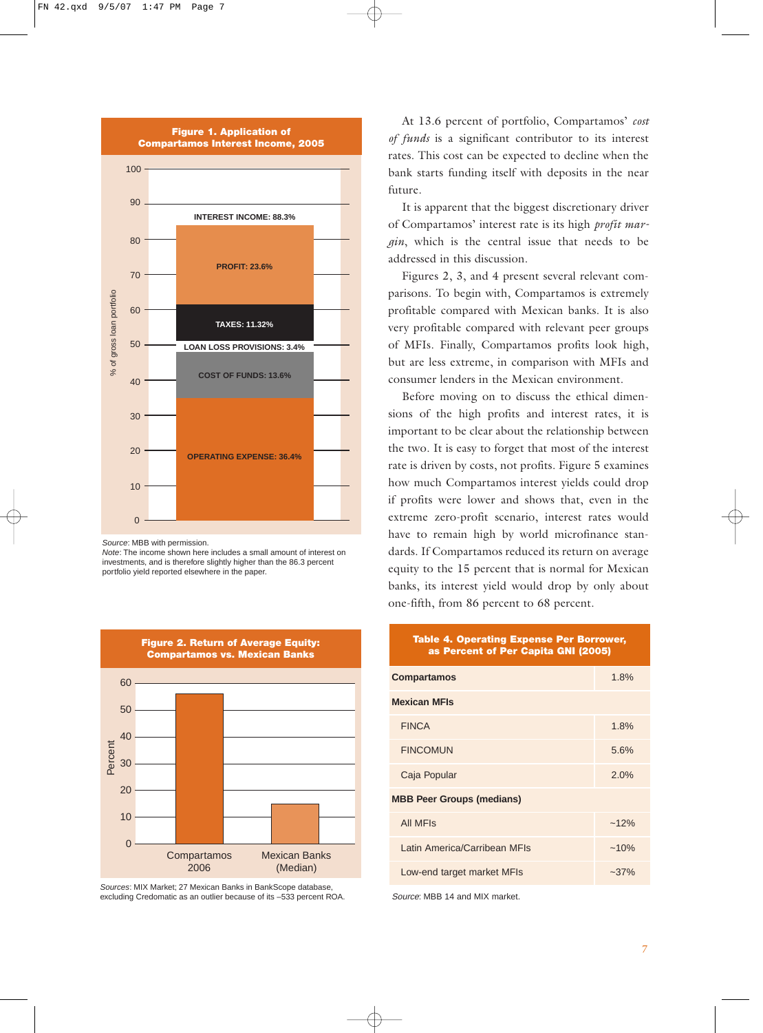

*Source*: MBB with permission.

*Note*: The income shown here includes a small amount of interest on investments, and is therefore slightly higher than the 86.3 percent portfolio yield reported elsewhere in the paper.



*Sources*: MIX Market; 27 Mexican Banks in BankScope database, excluding Credomatic as an outlier because of its –533 percent ROA.

At 13.6 percent of portfolio, Compartamos' *cost of funds* is a significant contributor to its interest rates. This cost can be expected to decline when the bank starts funding itself with deposits in the near future.

It is apparent that the biggest discretionary driver of Compartamos' interest rate is its high *profit margin*, which is the central issue that needs to be addressed in this discussion.

Figures 2, 3, and 4 present several relevant comparisons. To begin with, Compartamos is extremely profitable compared with Mexican banks. It is also very profitable compared with relevant peer groups of MFIs. Finally, Compartamos profits look high, but are less extreme, in comparison with MFIs and consumer lenders in the Mexican environment.

Before moving on to discuss the ethical dimensions of the high profits and interest rates, it is important to be clear about the relationship between the two. It is easy to forget that most of the interest rate is driven by costs, not profits. Figure 5 examines how much Compartamos interest yields could drop if profits were lower and shows that, even in the extreme zero-profit scenario, interest rates would have to remain high by world microfinance standards. If Compartamos reduced its return on average equity to the 15 percent that is normal for Mexican banks, its interest yield would drop by only about one-fifth, from 86 percent to 68 percent.

#### **Table 4. Operating Expense Per Borrower, as Percent of Per Capita GNI (2005)**

| <b>Compartamos</b>               | 1.8%    |  |  |  |
|----------------------------------|---------|--|--|--|
| <b>Mexican MFIs</b>              |         |  |  |  |
| <b>FINCA</b>                     | 1.8%    |  |  |  |
| <b>FINCOMUN</b>                  | 5.6%    |  |  |  |
| Caja Popular                     | 2.0%    |  |  |  |
| <b>MBB Peer Groups (medians)</b> |         |  |  |  |
| <b>All MFIs</b>                  | $~12\%$ |  |  |  |
| Latin America/Carribean MFIs     | $~10\%$ |  |  |  |
| Low-end target market MFIs       | $-37%$  |  |  |  |

Source: MBB 14 and MIX market.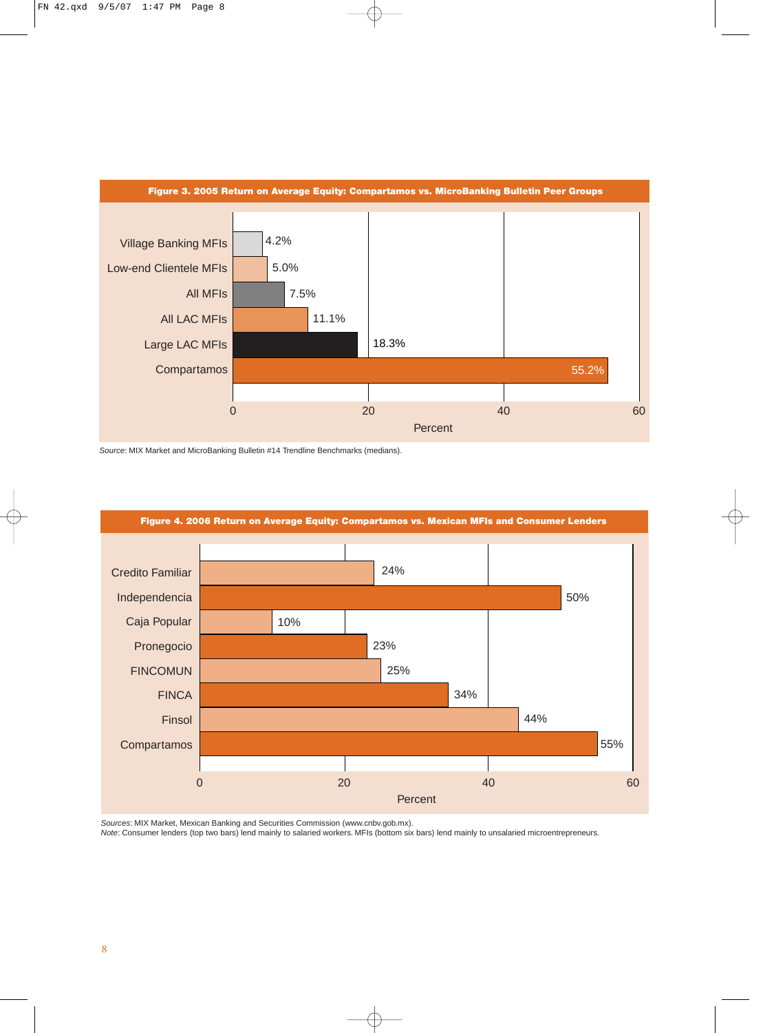

*Source*: MIX Market and MicroBanking Bulletin #14 Trendline Benchmarks (medians).



*Sources*: MIX Market, Mexican Banking and Securities Commission (www.cnbv.gob.mx).

*Note*: Consumer lenders (top two bars) lend mainly to salaried workers. MFIs (bottom six bars) lend mainly to unsalaried microentrepreneurs.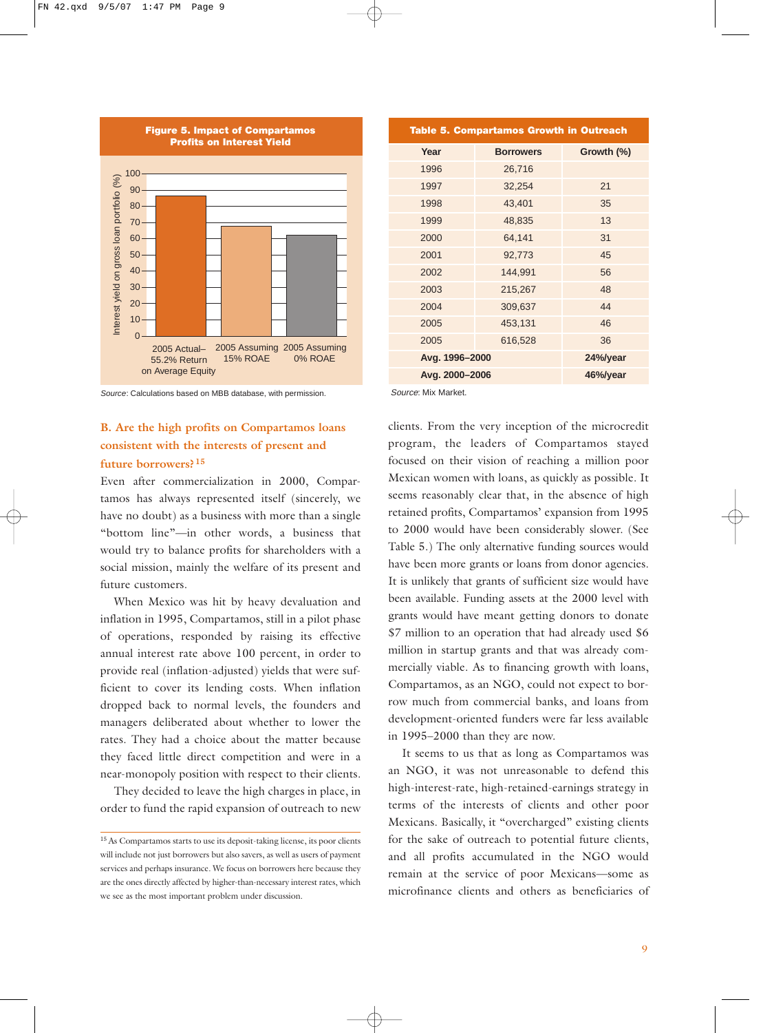

*Source*: Calculations based on MBB database, with permission.

### **B. Are the high profits on Compartamos loans consistent with the interests of present and future borrowers? <sup>15</sup>**

Even after commercialization in 2000, Compartamos has always represented itself (sincerely, we have no doubt) as a business with more than a single "bottom line"—in other words, a business that would try to balance profits for shareholders with a social mission, mainly the welfare of its present and future customers.

When Mexico was hit by heavy devaluation and inflation in 1995, Compartamos, still in a pilot phase of operations, responded by raising its effective annual interest rate above 100 percent, in order to provide real (inflation-adjusted) yields that were sufficient to cover its lending costs. When inflation dropped back to normal levels, the founders and managers deliberated about whether to lower the rates. They had a choice about the matter because they faced little direct competition and were in a near-monopoly position with respect to their clients.

They decided to leave the high charges in place, in order to fund the rapid expansion of outreach to new

| <b>Table 5. Compartamos Growth in Outreach</b> |                  |            |  |  |  |  |  |
|------------------------------------------------|------------------|------------|--|--|--|--|--|
| Year                                           | <b>Borrowers</b> | Growth (%) |  |  |  |  |  |
| 1996                                           | 26,716           |            |  |  |  |  |  |
| 1997                                           | 32,254           | 21         |  |  |  |  |  |
| 1998                                           | 43,401           | 35         |  |  |  |  |  |
| 1999                                           | 48,835           | 13         |  |  |  |  |  |
| 2000                                           | 64,141           | 31         |  |  |  |  |  |
| 2001                                           | 92,773           | 45         |  |  |  |  |  |
| 2002                                           | 144,991          | 56         |  |  |  |  |  |
| 2003                                           | 215,267          | 48         |  |  |  |  |  |
| 2004                                           | 309,637          | 44         |  |  |  |  |  |
| 2005                                           | 453,131          | 46         |  |  |  |  |  |
| 2005                                           | 616,528          | 36         |  |  |  |  |  |
| Avg. 1996-2000                                 | 24%/year         |            |  |  |  |  |  |
| Avg. 2000-2006                                 | 46%/year         |            |  |  |  |  |  |

Source: Mix Market.

clients. From the very inception of the microcredit program, the leaders of Compartamos stayed focused on their vision of reaching a million poor Mexican women with loans, as quickly as possible. It seems reasonably clear that, in the absence of high retained profits, Compartamos' expansion from 1995 to 2000 would have been considerably slower. (See Table 5.) The only alternative funding sources would have been more grants or loans from donor agencies. It is unlikely that grants of sufficient size would have been available. Funding assets at the 2000 level with grants would have meant getting donors to donate \$7 million to an operation that had already used \$6 million in startup grants and that was already commercially viable. As to financing growth with loans, Compartamos, as an NGO, could not expect to borrow much from commercial banks, and loans from development-oriented funders were far less available in 1995–2000 than they are now.

It seems to us that as long as Compartamos was an NGO, it was not unreasonable to defend this high-interest-rate, high-retained-earnings strategy in terms of the interests of clients and other poor Mexicans. Basically, it "overcharged" existing clients for the sake of outreach to potential future clients, and all profits accumulated in the NGO would remain at the service of poor Mexicans—some as microfinance clients and others as beneficiaries of

<sup>15</sup> As Compartamos starts to use its deposit-taking license, its poor clients will include not just borrowers but also savers, as well as users of payment services and perhaps insurance. We focus on borrowers here because they are the ones directly affected by higher-than-necessary interest rates, which we see as the most important problem under discussion.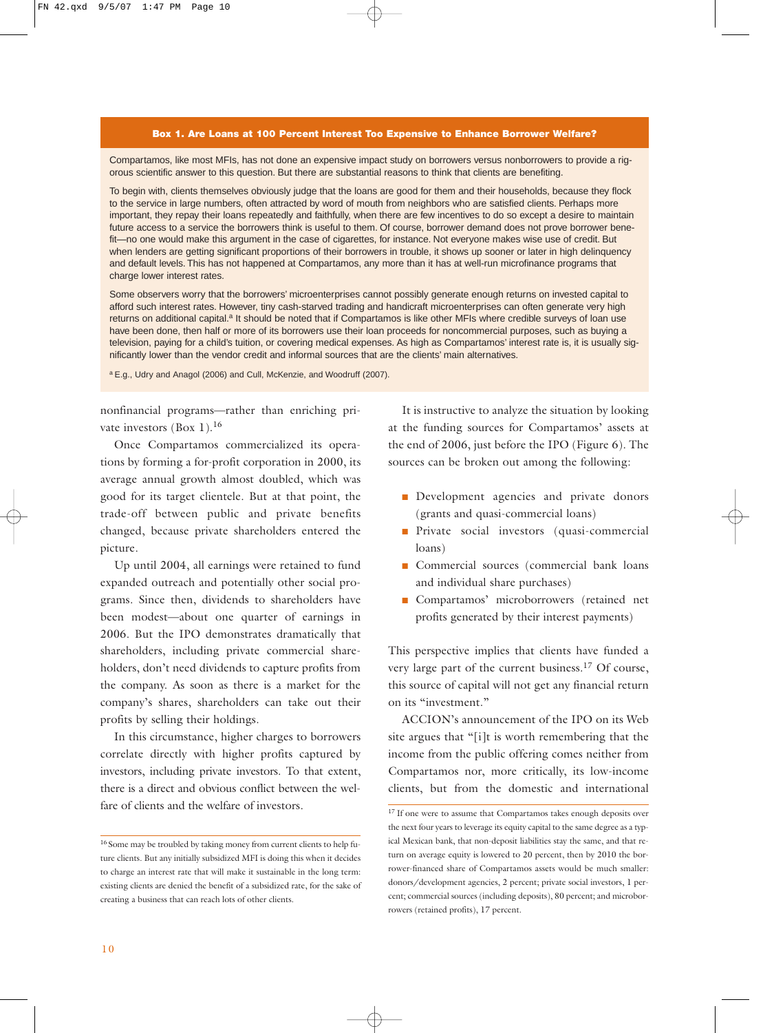#### **Box 1. Are Loans at 100 Percent Interest Too Expensive to Enhance Borrower Welfare?**

Compartamos, like most MFIs, has not done an expensive impact study on borrowers versus nonborrowers to provide a rigorous scientific answer to this question. But there are substantial reasons to think that clients are benefiting.

To begin with, clients themselves obviously judge that the loans are good for them and their households, because they flock to the service in large numbers, often attracted by word of mouth from neighbors who are satisfied clients. Perhaps more important, they repay their loans repeatedly and faithfully, when there are few incentives to do so except a desire to maintain future access to a service the borrowers think is useful to them. Of course, borrower demand does not prove borrower benefit—no one would make this argument in the case of cigarettes, for instance. Not everyone makes wise use of credit. But when lenders are getting significant proportions of their borrowers in trouble, it shows up sooner or later in high delinquency and default levels. This has not happened at Compartamos, any more than it has at well-run microfinance programs that charge lower interest rates.

Some observers worry that the borrowers' microenterprises cannot possibly generate enough returns on invested capital to afford such interest rates. However, tiny cash-starved trading and handicraft microenterprises can often generate very high returns on additional capital.<sup>a</sup> It should be noted that if Compartamos is like other MFIs where credible surveys of loan use have been done, then half or more of its borrowers use their loan proceeds for noncommercial purposes, such as buying a television, paying for a child's tuition, or covering medical expenses. As high as Compartamos' interest rate is, it is usually significantly lower than the vendor credit and informal sources that are the clients' main alternatives.

<sup>a</sup> E.g., Udry and Anagol (2006) and Cull, McKenzie, and Woodruff (2007).

nonfinancial programs—rather than enriching private investors (Box 1).<sup>16</sup>

Once Compartamos commercialized its operations by forming a for-profit corporation in 2000, its average annual growth almost doubled, which was good for its target clientele. But at that point, the trade-off between public and private benefits changed, because private shareholders entered the picture.

Up until 2004, all earnings were retained to fund expanded outreach and potentially other social programs. Since then, dividends to shareholders have been modest—about one quarter of earnings in 2006. But the IPO demonstrates dramatically that shareholders, including private commercial shareholders, don't need dividends to capture profits from the company. As soon as there is a market for the company's shares, shareholders can take out their profits by selling their holdings.

In this circumstance, higher charges to borrowers correlate directly with higher profits captured by investors, including private investors. To that extent, there is a direct and obvious conflict between the welfare of clients and the welfare of investors.

It is instructive to analyze the situation by looking at the funding sources for Compartamos' assets at the end of 2006, just before the IPO (Figure 6). The sources can be broken out among the following:

- **Development** agencies and private donors (grants and quasi-commercial loans)
- Private social investors (quasi-commercial loans)
- Commercial sources (commercial bank loans and individual share purchases)
- Compartamos' microborrowers (retained net profits generated by their interest payments)

This perspective implies that clients have funded a very large part of the current business.<sup>17</sup> Of course, this source of capital will not get any financial return on its "investment."

ACCION's announcement of the IPO on its Web site argues that "[i]t is worth remembering that the income from the public offering comes neither from Compartamos nor, more critically, its low-income clients, but from the domestic and international

<sup>16</sup> Some may be troubled by taking money from current clients to help future clients. But any initially subsidized MFI is doing this when it decides to charge an interest rate that will make it sustainable in the long term: existing clients are denied the benefit of a subsidized rate, for the sake of creating a business that can reach lots of other clients.

<sup>&</sup>lt;sup>17</sup> If one were to assume that Compartamos takes enough deposits over the next four years to leverage its equity capital to the same degree as a typical Mexican bank, that non-deposit liabilities stay the same, and that return on average equity is lowered to 20 percent, then by 2010 the borrower-financed share of Compartamos assets would be much smaller: donors/development agencies, 2 percent; private social investors, 1 percent; commercial sources (including deposits), 80 percent; and microborrowers (retained profits), 17 percent.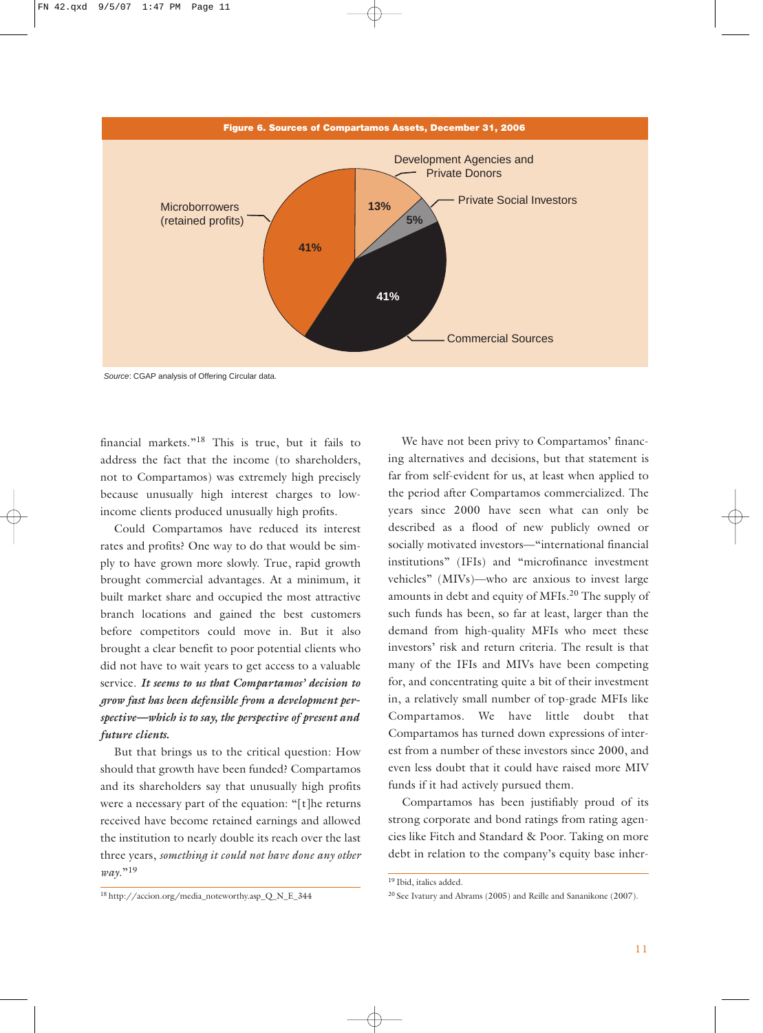

*Source*: CGAP analysis of Offering Circular data.

financial markets."<sup>18</sup> This is true, but it fails to address the fact that the income (to shareholders, not to Compartamos) was extremely high precisely because unusually high interest charges to lowincome clients produced unusually high profits.

Could Compartamos have reduced its interest rates and profits? One way to do that would be simply to have grown more slowly. True, rapid growth brought commercial advantages. At a minimum, it built market share and occupied the most attractive branch locations and gained the best customers before competitors could move in. But it also brought a clear benefit to poor potential clients who did not have to wait years to get access to a valuable service. *It seems to us that Compartamos' decision to grow fast has been defensible from a development perspective—which is to say, the perspective of present and future clients.*

But that brings us to the critical question: How should that growth have been funded? Compartamos and its shareholders say that unusually high profits were a necessary part of the equation: "[t]he returns received have become retained earnings and allowed the institution to nearly double its reach over the last three years, *something it could not have done any other way*."<sup>19</sup>

We have not been privy to Compartamos' financing alternatives and decisions, but that statement is far from self-evident for us, at least when applied to the period after Compartamos commercialized. The years since 2000 have seen what can only be described as a flood of new publicly owned or socially motivated investors—"international financial institutions" (IFIs) and "microfinance investment vehicles" (MIVs)—who are anxious to invest large amounts in debt and equity of MFIs.<sup>20</sup> The supply of such funds has been, so far at least, larger than the demand from high-quality MFIs who meet these investors' risk and return criteria. The result is that many of the IFIs and MIVs have been competing for, and concentrating quite a bit of their investment in, a relatively small number of top-grade MFIs like Compartamos. We have little doubt that Compartamos has turned down expressions of interest from a number of these investors since 2000, and even less doubt that it could have raised more MIV funds if it had actively pursued them.

Compartamos has been justifiably proud of its strong corporate and bond ratings from rating agencies like Fitch and Standard & Poor. Taking on more debt in relation to the company's equity base inher-

19 Ibid, italics added.

<sup>18</sup> http://accion.org/media\_noteworthy.asp\_Q\_N\_E\_344

<sup>20</sup> See Ivatury and Abrams (2005) and Reille and Sananikone (2007).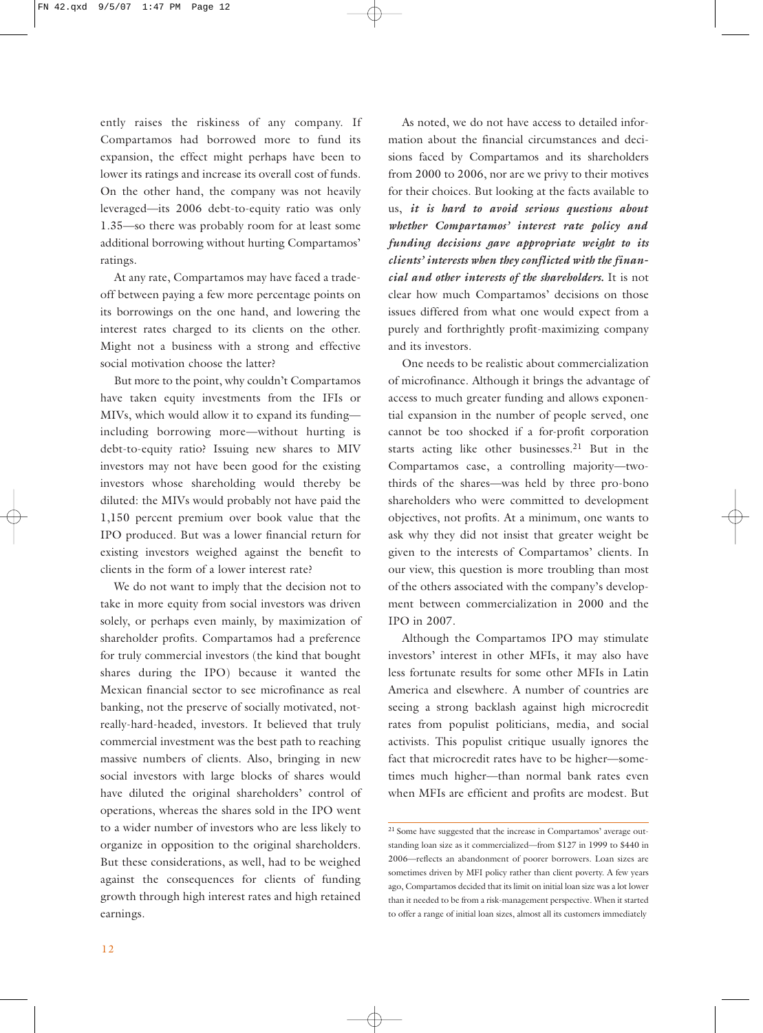ently raises the riskiness of any company. If Compartamos had borrowed more to fund its expansion, the effect might perhaps have been to lower its ratings and increase its overall cost of funds. On the other hand, the company was not heavily leveraged—its 2006 debt-to-equity ratio was only 1.35—so there was probably room for at least some additional borrowing without hurting Compartamos' ratings.

At any rate, Compartamos may have faced a tradeoff between paying a few more percentage points on its borrowings on the one hand, and lowering the interest rates charged to its clients on the other. Might not a business with a strong and effective social motivation choose the latter?

But more to the point, why couldn't Compartamos have taken equity investments from the IFIs or MIVs, which would allow it to expand its funding including borrowing more—without hurting is debt-to-equity ratio? Issuing new shares to MIV investors may not have been good for the existing investors whose shareholding would thereby be diluted: the MIVs would probably not have paid the 1,150 percent premium over book value that the IPO produced. But was a lower financial return for existing investors weighed against the benefit to clients in the form of a lower interest rate?

We do not want to imply that the decision not to take in more equity from social investors was driven solely, or perhaps even mainly, by maximization of shareholder profits. Compartamos had a preference for truly commercial investors (the kind that bought shares during the IPO) because it wanted the Mexican financial sector to see microfinance as real banking, not the preserve of socially motivated, notreally-hard-headed, investors. It believed that truly commercial investment was the best path to reaching massive numbers of clients. Also, bringing in new social investors with large blocks of shares would have diluted the original shareholders' control of operations, whereas the shares sold in the IPO went to a wider number of investors who are less likely to organize in opposition to the original shareholders. But these considerations, as well, had to be weighed against the consequences for clients of funding growth through high interest rates and high retained earnings.

As noted, we do not have access to detailed information about the financial circumstances and decisions faced by Compartamos and its shareholders from 2000 to 2006, nor are we privy to their motives for their choices. But looking at the facts available to us, *it is hard to avoid serious questions about whether Compartamos' interest rate policy and funding decisions gave appropriate weight to its clients' interests when they conflicted with the financial and other interests of the shareholders.* It is not clear how much Compartamos' decisions on those issues differed from what one would expect from a purely and forthrightly profit-maximizing company and its investors.

One needs to be realistic about commercialization of microfinance. Although it brings the advantage of access to much greater funding and allows exponential expansion in the number of people served, one cannot be too shocked if a for-profit corporation starts acting like other businesses.<sup>21</sup> But in the Compartamos case, a controlling majority—twothirds of the shares—was held by three pro-bono shareholders who were committed to development objectives, not profits. At a minimum, one wants to ask why they did not insist that greater weight be given to the interests of Compartamos' clients. In our view, this question is more troubling than most of the others associated with the company's development between commercialization in 2000 and the IPO in 2007.

Although the Compartamos IPO may stimulate investors' interest in other MFIs, it may also have less fortunate results for some other MFIs in Latin America and elsewhere. A number of countries are seeing a strong backlash against high microcredit rates from populist politicians, media, and social activists. This populist critique usually ignores the fact that microcredit rates have to be higher—sometimes much higher—than normal bank rates even when MFIs are efficient and profits are modest. But

<sup>21</sup> Some have suggested that the increase in Compartamos' average outstanding loan size as it commercialized—from \$127 in 1999 to \$440 in 2006—reflects an abandonment of poorer borrowers. Loan sizes are sometimes driven by MFI policy rather than client poverty. A few years ago, Compartamos decided that its limit on initial loan size was a lot lower than it needed to be from a risk-management perspective. When it started to offer a range of initial loan sizes, almost all its customers immediately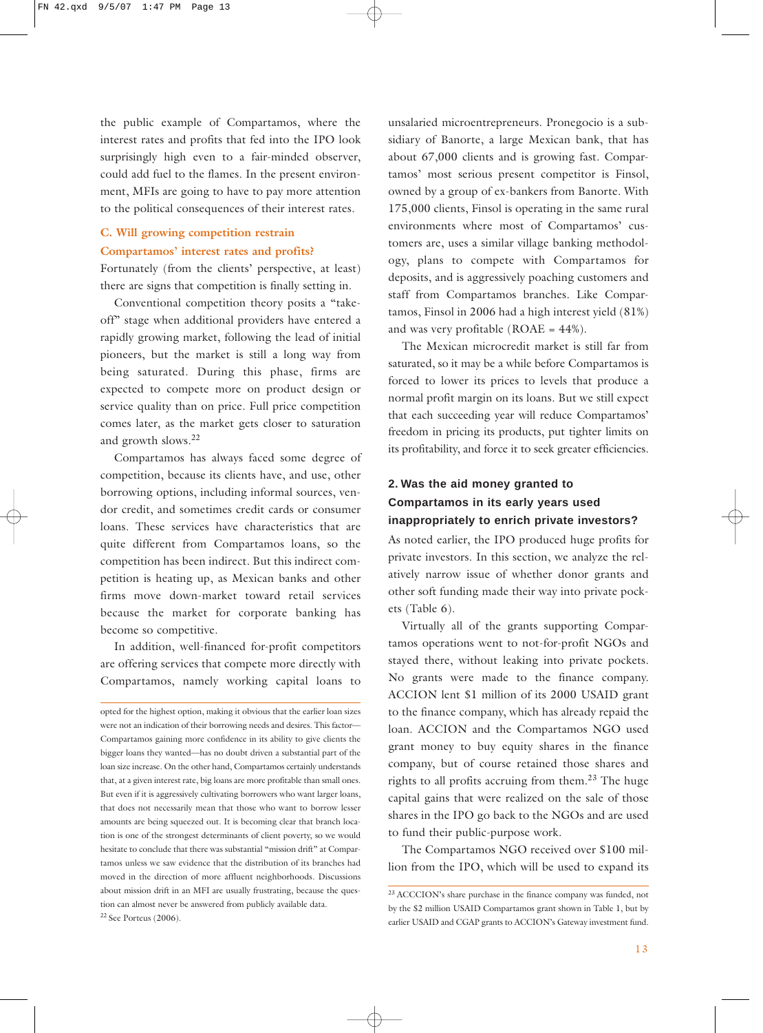the public example of Compartamos, where the interest rates and profits that fed into the IPO look surprisingly high even to a fair-minded observer, could add fuel to the flames. In the present environment, MFIs are going to have to pay more attention to the political consequences of their interest rates.

## **C. Will growing competition restrain Compartamos' interest rates and profits?**

Fortunately (from the clients' perspective, at least) there are signs that competition is finally setting in.

Conventional competition theory posits a "takeoff" stage when additional providers have entered a rapidly growing market, following the lead of initial pioneers, but the market is still a long way from being saturated. During this phase, firms are expected to compete more on product design or service quality than on price. Full price competition comes later, as the market gets closer to saturation and growth slows.<sup>22</sup>

Compartamos has always faced some degree of competition, because its clients have, and use, other borrowing options, including informal sources, vendor credit, and sometimes credit cards or consumer loans. These services have characteristics that are quite different from Compartamos loans, so the competition has been indirect. But this indirect competition is heating up, as Mexican banks and other firms move down-market toward retail services because the market for corporate banking has become so competitive.

In addition, well-financed for-profit competitors are offering services that compete more directly with Compartamos, namely working capital loans to

unsalaried microentrepreneurs. Pronegocio is a subsidiary of Banorte, a large Mexican bank, that has about 67,000 clients and is growing fast. Compartamos' most serious present competitor is Finsol, owned by a group of ex-bankers from Banorte. With 175,000 clients, Finsol is operating in the same rural environments where most of Compartamos' customers are, uses a similar village banking methodology, plans to compete with Compartamos for deposits, and is aggressively poaching customers and staff from Compartamos branches. Like Compartamos, Finsol in 2006 had a high interest yield (81%) and was very profitable ( $ROAE = 44\%$ ).

The Mexican microcredit market is still far from saturated, so it may be a while before Compartamos is forced to lower its prices to levels that produce a normal profit margin on its loans. But we still expect that each succeeding year will reduce Compartamos' freedom in pricing its products, put tighter limits on its profitability, and force it to seek greater efficiencies.

#### **2. Was the aid money granted to Compartamos in its early years used inappropriately to enrich private investors?**

As noted earlier, the IPO produced huge profits for private investors. In this section, we analyze the relatively narrow issue of whether donor grants and other soft funding made their way into private pockets (Table 6).

Virtually all of the grants supporting Compartamos operations went to not-for-profit NGOs and stayed there, without leaking into private pockets. No grants were made to the finance company. ACCION lent \$1 million of its 2000 USAID grant to the finance company, which has already repaid the loan. ACCION and the Compartamos NGO used grant money to buy equity shares in the finance company, but of course retained those shares and rights to all profits accruing from them.<sup>23</sup> The huge capital gains that were realized on the sale of those shares in the IPO go back to the NGOs and are used to fund their public-purpose work.

The Compartamos NGO received over \$100 million from the IPO, which will be used to expand its

opted for the highest option, making it obvious that the earlier loan sizes were not an indication of their borrowing needs and desires. This factor— Compartamos gaining more confidence in its ability to give clients the bigger loans they wanted—has no doubt driven a substantial part of the loan size increase. On the other hand, Compartamos certainly understands that, at a given interest rate, big loans are more profitable than small ones. But even if it is aggressively cultivating borrowers who want larger loans, that does not necessarily mean that those who want to borrow lesser amounts are being squeezed out. It is becoming clear that branch location is one of the strongest determinants of client poverty, so we would hesitate to conclude that there was substantial "mission drift" at Compartamos unless we saw evidence that the distribution of its branches had moved in the direction of more affluent neighborhoods. Discussions about mission drift in an MFI are usually frustrating, because the question can almost never be answered from publicly available data. 22 See Porteus (2006).

<sup>23</sup> ACCCION's share purchase in the finance company was funded, not by the \$2 million USAID Compartamos grant shown in Table 1, but by earlier USAID and CGAP grants to ACCION's Gateway investment fund.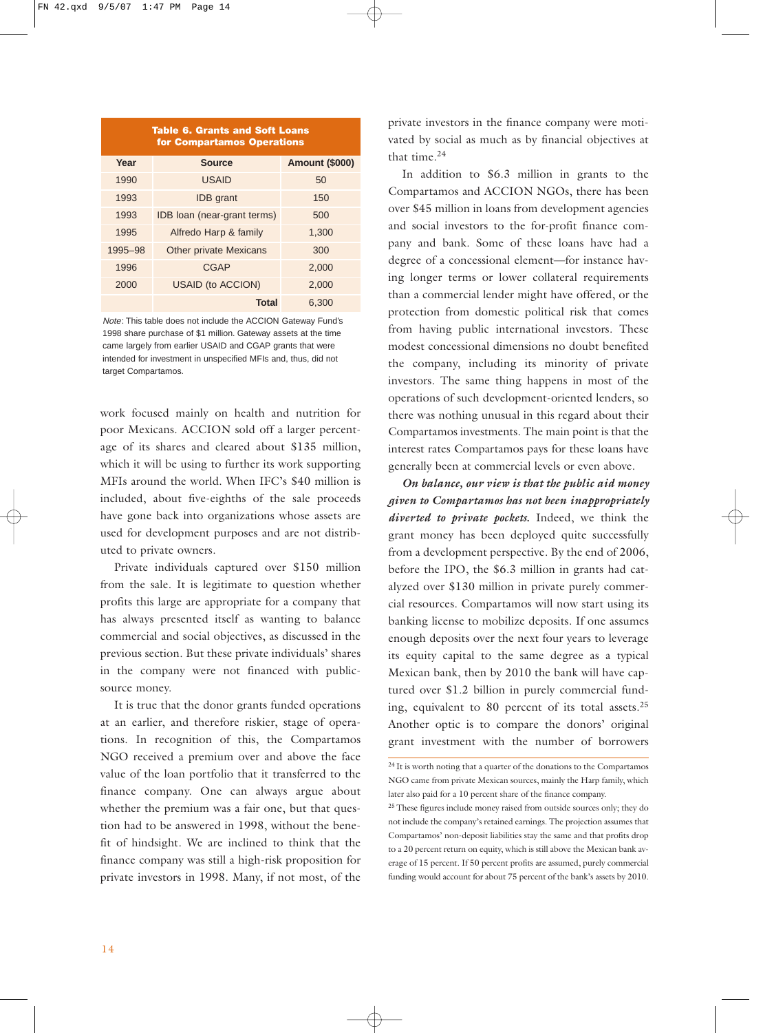| <b>Table 6. Grants and Soft Loans</b><br>for Compartamos Operations |                               |                       |  |  |  |  |  |
|---------------------------------------------------------------------|-------------------------------|-----------------------|--|--|--|--|--|
| Year                                                                | <b>Source</b>                 | <b>Amount (\$000)</b> |  |  |  |  |  |
| 1990                                                                | <b>USAID</b>                  | 50                    |  |  |  |  |  |
| 1993                                                                | <b>IDB</b> grant              | 150                   |  |  |  |  |  |
| 1993                                                                | IDB loan (near-grant terms)   | 500                   |  |  |  |  |  |
| 1995                                                                | Alfredo Harp & family         | 1,300                 |  |  |  |  |  |
| 1995-98                                                             | <b>Other private Mexicans</b> | 300                   |  |  |  |  |  |
| 1996                                                                | <b>CGAP</b>                   | 2.000                 |  |  |  |  |  |
| 2000                                                                | <b>USAID (to ACCION)</b>      | 2,000                 |  |  |  |  |  |
|                                                                     | Total                         | 6.300                 |  |  |  |  |  |

Note: This table does not include the ACCION Gateway Fund's 1998 share purchase of \$1 million. Gateway assets at the time came largely from earlier USAID and CGAP grants that were intended for investment in unspecified MFIs and, thus, did not target Compartamos.

work focused mainly on health and nutrition for poor Mexicans. ACCION sold off a larger percentage of its shares and cleared about \$135 million, which it will be using to further its work supporting MFIs around the world. When IFC's \$40 million is included, about five-eighths of the sale proceeds have gone back into organizations whose assets are used for development purposes and are not distributed to private owners.

Private individuals captured over \$150 million from the sale. It is legitimate to question whether profits this large are appropriate for a company that has always presented itself as wanting to balance commercial and social objectives, as discussed in the previous section. But these private individuals' shares in the company were not financed with publicsource money.

It is true that the donor grants funded operations at an earlier, and therefore riskier, stage of operations. In recognition of this, the Compartamos NGO received a premium over and above the face value of the loan portfolio that it transferred to the finance company. One can always argue about whether the premium was a fair one, but that question had to be answered in 1998, without the benefit of hindsight. We are inclined to think that the finance company was still a high-risk proposition for private investors in 1998. Many, if not most, of the private investors in the finance company were motivated by social as much as by financial objectives at that time.<sup>24</sup>

In addition to \$6.3 million in grants to the Compartamos and ACCION NGOs, there has been over \$45 million in loans from development agencies and social investors to the for-profit finance company and bank. Some of these loans have had a degree of a concessional element—for instance having longer terms or lower collateral requirements than a commercial lender might have offered, or the protection from domestic political risk that comes from having public international investors. These modest concessional dimensions no doubt benefited the company, including its minority of private investors. The same thing happens in most of the operations of such development-oriented lenders, so there was nothing unusual in this regard about their Compartamos investments. The main point is that the interest rates Compartamos pays for these loans have generally been at commercial levels or even above.

*On balance, our view is that the public aid money given to Compartamos has not been inappropriately diverted to private pockets.* Indeed, we think the grant money has been deployed quite successfully from a development perspective. By the end of 2006, before the IPO, the \$6.3 million in grants had catalyzed over \$130 million in private purely commercial resources. Compartamos will now start using its banking license to mobilize deposits. If one assumes enough deposits over the next four years to leverage its equity capital to the same degree as a typical Mexican bank, then by 2010 the bank will have captured over \$1.2 billion in purely commercial funding, equivalent to 80 percent of its total assets.<sup>25</sup> Another optic is to compare the donors' original grant investment with the number of borrowers

 $24$  It is worth noting that a quarter of the donations to the Compartamos NGO came from private Mexican sources, mainly the Harp family, which later also paid for a 10 percent share of the finance company.

<sup>&</sup>lt;sup>25</sup> These figures include money raised from outside sources only; they do not include the company's retained earnings. The projection assumes that Compartamos' non-deposit liabilities stay the same and that profits drop to a 20 percent return on equity, which is still above the Mexican bank average of 15 percent. If 50 percent profits are assumed, purely commercial funding would account for about 75 percent of the bank's assets by 2010.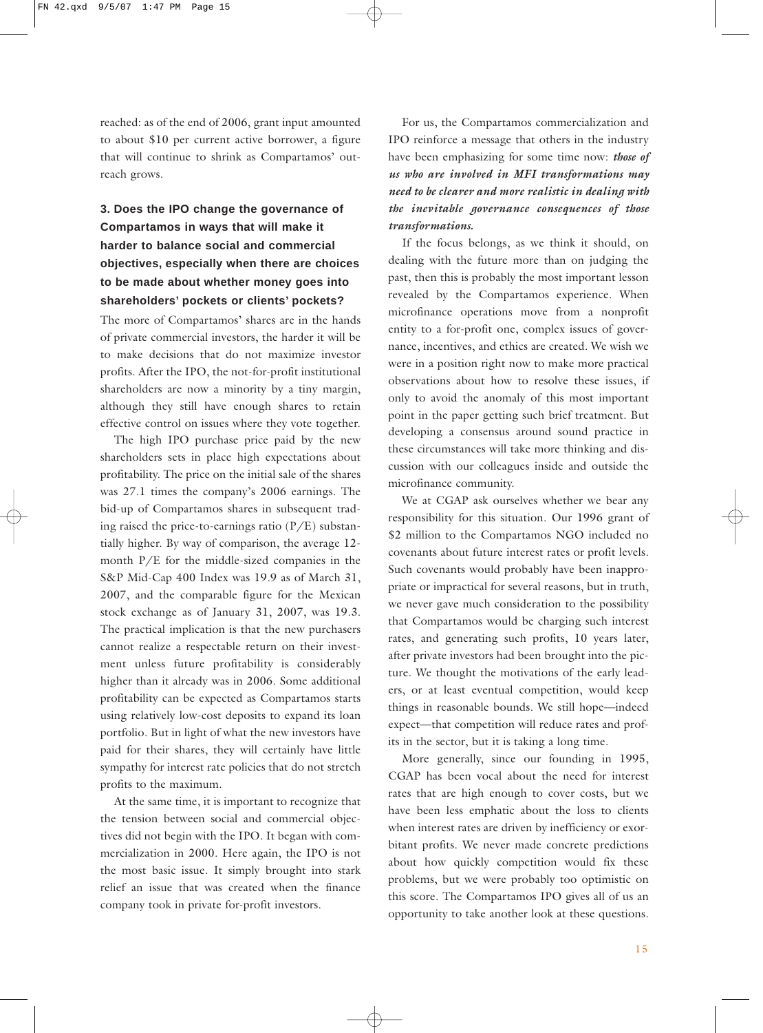reached: as of the end of 2006, grant input amounted to about \$10 per current active borrower, a figure that will continue to shrink as Compartamos' outreach grows.

## **3. Does the IPO change the governance of Compartamos in ways that will make it harder to balance social and commercial objectives, especially when there are choices to be made about whether money goes into shareholders' pockets or clients' pockets?**

The more of Compartamos' shares are in the hands of private commercial investors, the harder it will be to make decisions that do not maximize investor profits. After the IPO, the not-for-profit institutional shareholders are now a minority by a tiny margin, although they still have enough shares to retain effective control on issues where they vote together.

The high IPO purchase price paid by the new shareholders sets in place high expectations about profitability. The price on the initial sale of the shares was 27.1 times the company's 2006 earnings. The bid-up of Compartamos shares in subsequent trading raised the price-to-earnings ratio  $(P/E)$  substantially higher. By way of comparison, the average 12 month P/E for the middle-sized companies in the S&P Mid-Cap 400 Index was 19.9 as of March 31, 2007, and the comparable figure for the Mexican stock exchange as of January 31, 2007, was 19.3. The practical implication is that the new purchasers cannot realize a respectable return on their investment unless future profitability is considerably higher than it already was in 2006. Some additional profitability can be expected as Compartamos starts using relatively low-cost deposits to expand its loan portfolio. But in light of what the new investors have paid for their shares, they will certainly have little sympathy for interest rate policies that do not stretch profits to the maximum.

At the same time, it is important to recognize that the tension between social and commercial objectives did not begin with the IPO. It began with commercialization in 2000. Here again, the IPO is not the most basic issue. It simply brought into stark relief an issue that was created when the finance company took in private for-profit investors.

For us, the Compartamos commercialization and IPO reinforce a message that others in the industry have been emphasizing for some time now: *those of us who are involved in MFI transformations may need to be clearer and more realistic in dealing with the inevitable governance consequences of those transformations.*

If the focus belongs, as we think it should, on dealing with the future more than on judging the past, then this is probably the most important lesson revealed by the Compartamos experience. When microfinance operations move from a nonprofit entity to a for-profit one, complex issues of governance, incentives, and ethics are created. We wish we were in a position right now to make more practical observations about how to resolve these issues, if only to avoid the anomaly of this most important point in the paper getting such brief treatment. But developing a consensus around sound practice in these circumstances will take more thinking and discussion with our colleagues inside and outside the microfinance community.

We at CGAP ask ourselves whether we bear any responsibility for this situation. Our 1996 grant of \$2 million to the Compartamos NGO included no covenants about future interest rates or profit levels. Such covenants would probably have been inappropriate or impractical for several reasons, but in truth, we never gave much consideration to the possibility that Compartamos would be charging such interest rates, and generating such profits, 10 years later, after private investors had been brought into the picture. We thought the motivations of the early leaders, or at least eventual competition, would keep things in reasonable bounds. We still hope—indeed expect—that competition will reduce rates and profits in the sector, but it is taking a long time.

More generally, since our founding in 1995, CGAP has been vocal about the need for interest rates that are high enough to cover costs, but we have been less emphatic about the loss to clients when interest rates are driven by inefficiency or exorbitant profits. We never made concrete predictions about how quickly competition would fix these problems, but we were probably too optimistic on this score. The Compartamos IPO gives all of us an opportunity to take another look at these questions.